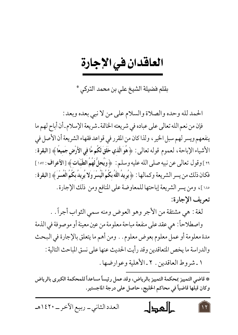بقلم فضيلة الشيخ على بن محمد التركي \*

الحمد لله وحده والصلاة والسلام على من لا نبي بعده وبعد :

فإن من نعم الله تعالى على عباده في شريعته الخاتمة ـ شريعة الإسلام ـ أن أباح لهم ما ينفعهم ويسر لهم سبل الخير ، ولذا كان من المقرر في قواعد فقهاء الشريعة أن الأصل في الأشياء الإباحة ، لعموم قوله تعالى: ﴿ هُوَ الَّذِي خَلَقَ لَكُم مَّا في الأَرْضِ جَميعًا ﴾ [البقرة : ٢٩] وقول تعالى عن نبيه صلى الله عليه وسلم : ﴿ وَيُحلُّ لَهُمُ الطَّيِّبَاتِ﴾ [الأعراف : ١٥٧] فكان ذلك من يسر الشريعة وكمالها : ﴿ يُرِيدُ اللَّهُ بِكُمُ الْيُسْرَ وَلا يُرِيدُ بِكُمُ الْعُسْرَ ﴾ [البقرة : ١٨٠]، ومن يسر الشريعة إباحتها للمعاوضة على المنافع ومن ذلك الإجارة . تعريف الإجارة:

لغة : هي مشتقة من الأجر وهو العوض ومنه سمي الثواب أجراً . .

واصطلاحاً : هي عقد على منفعة مباحة معلومة من عين معينة أو موصوفة في الذمة مدة معلومة أو عمل معلوم بعوض معلوم . . ومن أهم ما يتعلق بالإجارة في البحث والدراسة ما يخص المتعاقدين وقد رأيت الحديث عنها على نسق المباحث التالية :

١ ـ شروط العاقدين . ٢ ـ الأهلية وعوارضها .

\* قاضي التمييز بمحكمة التمييز بالرياض، وقد عمل رئيساً مساعداً للمحكمة الكبرى بالرياض وكان قبلها قاضياً في محاكم الخليج، حاصل على درجة الماجستير.

العدد الثاني \_ ربيع الآخر \_ ١٤٢٠هـ حالمجال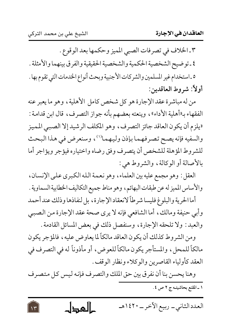$\sqrt{r}$ 

٣ ـ الخلاف في تصرفات الصبي المميز وحكمها بعد الوقوع . ٤ ـ توضيح الشخصية الحكمية والشخصية الحقيقية والفرق بينهما والأمثلة . ٥ ـ استخدام غير المسلمين والشركات الأجنبية وبحث أنواع الخدمات التي تقوم بها . أولاً: شروط العاقدين:

من له مباشرة عقد الإجارة هو كل شخص كامل الأهلية ، وهو ما يعبر عنه الفقهاء بـ«أهلية الأداء»، وينعته بعضهم بأنه جواز التصرف، قال ابن قدامة : «يلزم أن يكون العاقد جائز التصرف، وهو المكلف الرشيد إلا الصبي المميز والسفيه فإنه يصح تصرفهما بإذن وليهما'')، وسنعرض في هذا البحث للشروط المؤهلة للشخص أن يتصرف وفق رضاه واختياره فيؤجر ويؤاجر أما بالأصالة أو الوكالة، والشروط هي:

العقل : وهو مجمع عليه بين العلماء، وهو نعمة الله الكبرى على الإنسان، والأساس المميز له عن طبقات البهائم، وهو مناط جميع التكاليف الخطابية السماوية .

أما الحرية والبلوغ فليسا شرطاً لانعقاد الإجارة ، بل لنفاذها وذلك عند أحمد وأبي حنيفة ومالك، أما الشافعي فإنه لا يرى صحة عقد الإجارة من الصببي والعبد : ولا تلحقه الإجارة، وسنفصل ذلك في بعض المسائل القادمة .

ومن الشروط كذلك أن يكون العاقد مالكاً لما يعاوض عليه ، فالمؤجر يكون مالكاً للمحل، والمستأجر يكون مالكاً للعوض، أو مأذوناً له في التصرف في العقد كأولياء القاصرين والوكلاء ونظار الوقف .

وهنا يحسن بنا أن نفرق بين حق الملك والتصرف فإنه ليس كل متصرف ١ ـ المقنع بحاشيتـه ج ٢ ص ٤.

العدد الثاني\_ ربيع الآخر\_ ١٤٢٠هـ كالمحطل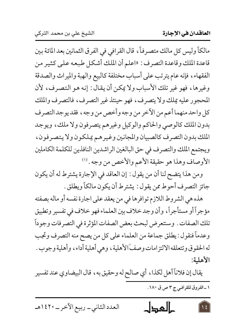مالكاً وليس كل مالك متصرفاً، قال القرافي في الفرق الثمانين بعد المائة بين قاعدة الملك وقاعدة التصرف : «اعلم أن الملك أشكل طبعه على كثير من الفقهاء، فإنه عام يترتب على أسباب مختلفة كالبيع والهبة والميراث والصدقة وغيرها، فهو غير تلك الأسباب ولا يمكن أن يقال: إنه هو التصرف، لأن المحجور عليه يملك ولا يتصرف، فهو حينئذ غير التصرف، فالتصرف والملك كل واحد منهما أعم من الآخر من وجه وأخص من وجه ، فقد يوجد التصرف بدون الملك كالوصي والحاكم والوكيل وغيرهم يتصرفون ولا ملك، ويوجد الملك بدون التصرف كالصبيان والمجانين وغيرهم يملكون ولا يتصرفون، ويجتمع الملك والتصرف في حق البالغين الراشدين النافذين للكلمة الكاملين الأوصاف وهذا هو حقيقة الأعم والأخص من وجه . (''

ومن هذا يتضح لنا أن من يقول : إن العاقد في الإجارة يشترط له أن يكون جائز التصرف أحوط ممن يقول : يشترط أن يكون مالكاً ويطلق .

هذه هي الشروط اللازم توافرها في من يعقد على اجارة نفسه أو ماله بصفته مؤجراً أو مستأجراً، وأن وجد خلاف بين العلماء فهو خلاف في تفسير وتطبيق تلك الصفات . وسنتعرض لبحث بعض الصفات المؤثرة في التصرفات وجوداً وعدماً فنقول : يطلق جماعة من العلماء على كل من يصح منه التصرف وتجب له الحقوق وتتعلقه الالتزامات وصفَ الأهلية ، وهي أهلية أداء ، وأهلية وجوب . الأهلية:

يقال إن فلاناً أهل لكذا ، أي صالح له وحقيق به ، قال البيضاوي عند تفسير ١ ـ الفروق للقرافي ج ٣ ص ق ١٨٠.

كالمطل العدد الثاني\_ ربيع الآخر\_ ١٤٢٠هـ  $\sqrt{2}$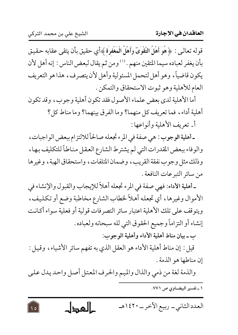$\sqrt{2}$ 

قوله تعالىي : ﴿ هُوَ أَهْلُ التَّقْوَىَ وَأَهْلُ الْمَغْفِرَة ﴾أي حقيق بأن يتقى عقابه حقيق بأن يغفر لعباده سيما المتقين منهم . ('' ومن ثم يقال لبعض الناس : إنه أهل لأن يكون قاضياً، وهو أهل لتحمل المسئولية وأهل لأن يتصرف، هذا هو التعريف العام للأهلية وهو ثبوت الاستحقاق والتمكن .

أما الأهلية لدى بعض علماء الأصول فقد تكون أهلية وجوب، وقد تكون أهلية أداء، فما تعريف كل منهما؟ وما الفرق بينهما؟ وما مناط كل؟ أ ـ تعريف الأهلية وأنواعها :

ـ أهلية الوجوب : هي صفة في المرء تجعله صالحاً للالتزام ببعض الواجبات، والوفاء ببعض المقدرات التي لم يشترط الشارع العقل مناطاً للتكليف بها، وذلك مثل وجوب نفقة القريب، وضمان المتلفات، واستحقاق الهبة، وغيرها من سائر التبر عات النافعة .

ـ أهلية الأداء: فهي صفة في المرء تجعله أهلاً للإيجاب والقبول والإنشاء في الأموال وغيرها، أي تجعله أهلاً لخطاب الشارع مخاطبة وضع أو تكليف، ويتوقف على تلك الأهلية اعتبار سائر التصرفات قولية أو فعلية سواء أكانت إنشاء أو التزاماً وجميع الحقوق التي لله سبحانه ولعباده . ب ـ بيان مناط أهلية الأداء وأهلية الوجوب:

قيل : إن مناط أهلية الأداء هو العقل الذي به تفهم سائر الأشياء، وقيل : إن مناطها هو الذمة .

والذمة لغة من ذمي والذال والميم والحرف المعتل أصل واحد يدل على

۱ ـ تفسير البيضـاوي ص ۷۷۱.

كالمجال العدد الثاني\_ ربيع الآخر\_ ١٤٢٠هـ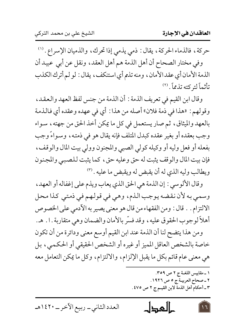حركة، فالذماء الحركة، يقال: ذمي يذمي إذا تحرك، والذميان الإسراع. ('' وفي مختار الصحاح أن أهل الذمة هم أهل العقد، ونقل عن أبي عبيد أن الذمة الأمان أي عقد الأمان، ومنه تذم أي استنكف، يقال: لو لم أترك الكذب تأثماً لتركته تذمماً. (٢)

وقال ابن القيم في تعريف الذمة : أن الذمة من جنس لفظ العهد والعقد، وقولهم: «هذا في ذمة فلان» أصله من هذا: أي في عهده وعقده أي فالذمة بالعهد والميثاق، ثم صار يستعمل في كل ما يمكن أخذ الحق من جهته، سواء وجب بعقده أو بغير عقده كبدل المتلف فإنه يقال هو في ذمته، وسواءً وجب بفعله أو فعل وليه أو وكيله كولي الصبي والمجنون وولي بيت المال والوقف، فإن بيت المال والوقف يثبت له حق وعليه حق، كما يثبت للصببي والمجنون ويطالب وليه الذي له أن يقبض له ويقبض ما عليه . (٣)

وقال الألوسي : إن الذمة هي الحق الذي يعاب ويذم على إغفاله أو العهد، وسمي به لأن نقضه يوجب الذم، وهي في قولهم في ذمتي كذا محل الالتزام . . قال : ومن الفقهاء من قال هو معنى يصير به الآدمى على الخصوص أهلاً لوجوب الحقوق عليه، وقد فسَّر بالأمان والضمان وهي متقاربة . ا . هـ.

ومن هذا يتضح لنا أن الذمة عند ابن القيم أوسع معنى ودائرة من أن تكون خاصة بالشخص العاقل المميز أو غيره أو الشخص الحقيقي أو الحكمي، بل هي معنى عام قائم بكل ما يقبل الإلزام، والالتزام، وكل ما يمكن التعامل معه

حالمجال العدد الثاني\_ ربيع الآخر\_ ١٤٢٠هـ  $\overline{1}$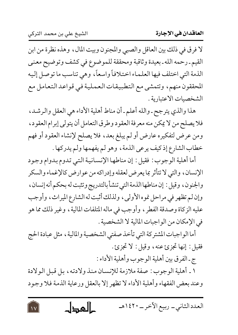لا فرق في ذلك بين العاقل والصبي والمجنون وبيت المال، وهذه نظرة من ابن القيم ـ رحمه الله ـ بعيدة وثاقبة ومحققة للموضوع في كشف وتوضيح معنى الذمة التي اختلف فيها العلماء اختلافاً واسعاً، وهي تناسب ما توصل إليه المحققون منهم، وتتمشى مع التطبيقات العملية في قواعد التعامل مع الشخصيات الاعتبارية .

هذا والذي يترجح ـ والله أعلم ـ أن مناط أهلية الأداء هي العقل والرشد، فلا يصلح من لا يمكن منه معرفة العقود وطرق التعامل أن يتولى إبرام العقود، ومن عرض لتفكيره عارض أو لم يبلغ بعد، فلا يصلح لإنشاء العقود أو فهم خطاب الشارع إذ كيف يرعى الذمة، وهو لم يفهمها ولم يدركها .

أما أهلية الوجوب : فقيل : إن مناطها الإنسانية التبي تدوم بدوام وجود الإنسان، والتي لا تتأثر بما يعرض لعقله وإدراكه من عوارض كالإغماء والسكر والجنون، وقيل : إن مناطها الذمة التي تنشأ بالتدريج وتثبت له بحكم أنه إنسان، وإن لم تظهر في مراحل نموه الأولى، ولذلك أثبت له الشارع الميراث، وأوجب عليه الزكاة وصدقة الفطر ، وأوجب في ماله المتلفات المالية ، وغير ذلك مما هو في الإمكان من الواجبات المالية لا الشخصية .

أما الواجبات المشتركة التي تأخذ صفتي الشخصية والمالية ، مثل عبادة الحج فقيل: إنها تجزئ عنه، وقيل: لا تجزئ.

ج-الفرق بين أهلية الوجوب وأهلية الأداء :

١ \_ أهلية الوجوب : صفة ملازمة للإنسـان منذ و لادتـه ، بـل قبـل الـو لادة وعند بعض الفقهاء وأهلية الأداء لا تظهر إلا بالعقل ورعاية الذمة فلا وجود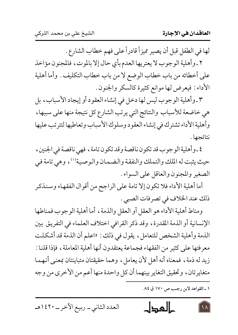لها في الطفل قبل أن يصير مميزاً قادراً على فهم خطاب الشارع .

٢ ـ وأهلية الوجوب لا يعتريها العدم بأي حال إلا بالموت، فالمجنون مؤاخذ على أخطائه من باب خطاب الوضع لا من باب خطاب التكليف . وأما أهلية الأداء : فيعرض لها موانع كثيرة كالسكر والجنون .

٣ ـ وأهلية الوجوب ليس لها دخل في إنشاء العقود أو إيجاد الأسباب، بل هي خاضعة للأسباب والنتائج التي يرتب الشارع كل نتيجة منها على سببها، وأهلية الأداء تشترك في إنشاء العقود وسلوك الأسباب وتعاطيها لتترتب عليها نتائحها .

٤ ـ وأهلية الوجوب قد تكون ناقصة وقد تكون تامة ، فهي ناقصة في الجنين ، حيث يثبت له الملك والتملك والنفقة والضمان والوصية'')، وهي تامة في الصغير والمجنون والعاقل على السواء .

أما أهلية الأداء فلا تكون إلا تامة على الراجح من أقوال الفقهاء وسنذكر ذلك عند الخلاف في تصرفات الصبي .

ومناط أهلية الأداء هو العقل أو العقل والذمة ، أما أهلية الوجوب فمناطها الإنسانية أو الذمة المقدرة، وقد ذكر القرافي اختلاف العلماء في التفريق بين الذمة وأهلية الشخص للتعامل، يقول في ذلك : «اعلم أن الذمة قد أشكلت معرفتها على كثير من الفقهاء فجماعة يعتقدون أنها أهلية المعاملة ، فإذا قلنا : زيد له ذمة، فمعناه أنه أهل لأن يعامل، وهما حقيقتان متباينتان بمعنى أنهما متغايرتان، وتحقيق التغاير بينهما أن كل واحدة منها أعم من الأخرى من وجه

١ ـ القواعد لابن رجب ص ١٧٠ ق ٨٤.

كالمحال العدد الثاني\_ ربيع الآخر\_ ١٤٢٠هـ  $\lambda$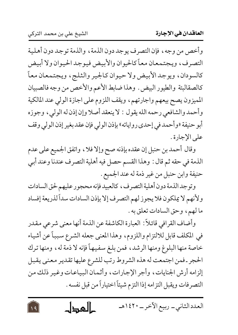$\sqrt{9}$ 

وأخص من وجه، فإن التصرف يوجد دون الذمة، والذمة توجد دون أهلية التصرف، ويجتمعان معاً كالحيوان والأبيض فيوجد الحيوان ولا أبيض كالسودان، ويوجد الأبيض ولا حيوان كالجير والثلج، ويجتمعان معاً كالصقالبتة والطيور البيض. وهذا ضابط الأعم والأخص من وجه فالصبيان المميزون يصح بيعهم واجارتهم، ويقف اللزوم على اجازة الولى عند المالكية وأحمد والشافعي رحمه الله يقول : لا ينعقد أصلا وإن إذن له الوليي، وجوزه أبو حنيفة «وأحمد في إحدى رواياته» بإذن الولي فإن عقد بغير إذن الولي وقف على الإجادة .

وقال أحمد بن حنبل إن عقده بإذنه صح وإلا فلا، واتفق الجميع على عدم الذمة في حقه ثم قال : وهذا القسم حصل فيه أهلية التصرف عندنا وعند أبي حنيفة وابن حنبل من غير ذمة له عند الجميع .

وتوجد الذمة دون أهلية التصرف، كالعبيد فإنه محجور عليهم لحق السادات ولأنهم لا يملكون فلا يجوز لهم التصرف إلا بإذن السادات سداً لذريعة إفساد ما لهم، وحق السادات تعلق به .

وأضاف القرافي قائلاً: العبارة الكاشفة عن الذمة أنها معنى شرعي مقدر في المكلف قابل للالتزام واللزوم، وهذا المعنى جعله الشرع سبباً عن أشياء خاصة منها البلوغ ومنها الرشد، فمن بلغ سفيهاً فإنه لا ذمة له، ومنها ترك الحجر ـ فمن اجتمعت له هذه الشروط رتب للشرع عليها تقدير معنى يقبل إلزامه أرش الجنايات، وأجر الإجارات، وأثمان البياعات وغير ذلك من التصرفات ويقبل التزامه إذا التزم شيئاً اختياراً من قبل نفسه .

العدد الثاني\_ ربيع الآخر\_ ١٤٢٠هـ كالمحطل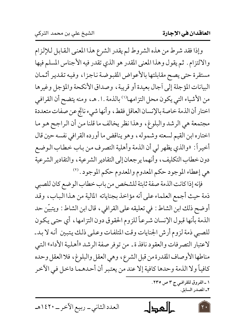وإذا فقد شرط من هذه الشروط لم يقدر الشرع هذا المعنى القابل للإلزام والالتزام . ثم يقول وهذا المعنى المقدر هو الذي تقدر فيه الأجناس المسلم فيها مستقرة حتى يصح مقابلتها بالأعواض المقبوضة ناجزا، وفيه تقدير أثمان البيانات المؤجلة إلى أجال بعيدة أو قريبة، وصداق الأنكحة والمؤجل وغيرها من الأشياء التي يكون محل التزامها''' بالذمة . ا . هـ ، ومنه يتضح أن القرافي اختار أن الذمة خاصة بالإنسان العاقل فقط، وأنها شيء ناتج عن صفات متعددة مجتمعة هي الرشد والبلوغ، وهذا نظر يخالف ما قلنا من أن الراجح هو ما اختاره ابن القيم لسعته وشموله، وهو يناقض ما أورده القرافي نفسه حين قال أخيراً: «والذي يظهر لي أن الذمة وأهلية التصرف من باب خطاب الوضع دون خطاب التكليف، وأنهما يرجعان إلى التقادير الشرعية، والتقادير الشرعية هي إعطاء الموجود حكم المعدوم والمعدوم حكم الموجود . (٢

فإنه إذا كانت الذمة صفة ثابتة للشخص من باب خطاب الوضع كان للصبي ذمة حيث أجمع العلماء على أنه مؤاخذ بجناياته المالية من هذا الباب، وقد أوضح ذلك ابن الشاط : في تعليقه على القرافي ، قال ابن الشاط : ويتبيّن حد الذمة بأنها قبول الإنسان شرعاً للزوم الحقوق دون التزامها ، أي حتى يكون للصبي ذمة لزوم أرش الجنايات وقت المتلفات وعلى ذلك يتبين أنه لا بد ـ لاعتبار التصرفات والعقود نافذ ة ـ من توفر صفة الرشد «أهلية الأداء» التبي مناطها الأوصاف المقدرة من قبل الشرع، وهي العقل والبلوغ، فلا العقل وحده كافياً ولا الذمة وحدها كافية إلا عند من يعتبر أن أحدهما داخل في الآخر

> ١ ـ الفروق للقرافيي ج ٣ ص ٢٣٥. ٢\_ المصدر السابق.

العدد الثانبي \_ ربيع الآخر \_ ١٤٢٠هـ

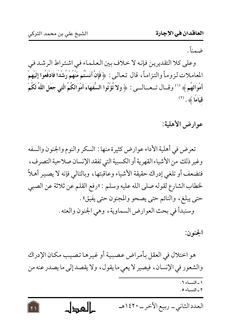ضعناً

وعلى كلا التقديرين فإنه لا خلاف بين العلماء في اشتراط الرشد في المعاملات لزوماً والتزاماً، قال تعالىي: ﴿ فَإِنْ آنَسْتُم مُّنْهُمْ رُشْدًا فَادْفَعُوا إِلَيْهِمْ أَمْوَالَهُم ﴾ ''' وقسال تــعـــالـــى : ﴿ وَلَا تُؤَتُّوا السُّفَهَاءَ أَمْوَالَكُمُ الَّتى جَعَلَ اللَّهُ لَكُمْ  $\ddot{\text{a}}$ قيَامًا $\ddot{\text{a}}$  .

عوارض الأهلية:

تعرض في أهلية الأداء عوارض كثيرة منها : السكر والنوم والجنون والسفه وغير ذلك من الأشياء القهرية أو الكسبية التي تفقد الإنسان صلاحية التصرف، فتضعف أو تلغي إدراك حقيقة الأشياء وعاقبتها، وبالتالي فإنه لا يصير أهلاً لخطاب الشارع لقوله صلى الله عليه وسلم : «رفع القلم عن ثلاثة عن الصبي حتى يبلغ، والنائم حتى يصحو والمجنون حتى يفيق». وسنبدأ في بحث العوارض السماوية، وهي الجنون والعته .

الجنو ن:

هو اختلال في العقل بأمر اض عصبية أو غير ها تصيب مكان الإدراك والشعور في الإنسان، فيصير لا يعي ما يقول، ولا يقصد إلى ما يصدر عنه من

> ١ - النسباء ٦. ٢- النساء ٥.

العدد الثاني ــ ربيع الآخر ــ ١٤٢٠هـ كالمحطل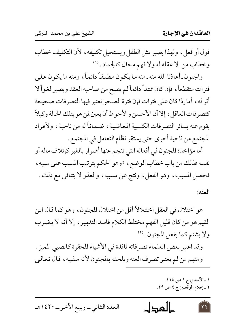قول أو فعل، ولهذا يصير مثل الطفل ويستحيل تكليفه، لأن التكليف خطاب وخطاب من لا عقله له ولا فهم محال كالجماد . (١)

والجنون ـ أعاذنا الله منه ـ منه ما يكون مطبقاً دائماً، ومنه ما يكون على فترات متقطعاً، فإن كان ممتداً دائماً لم يصح من صاحبه العقد ويصير لغواً لا أثر له ، أما إذا كان على فترات فإن فترة الصحو تعتبر فيها التصرفات صحيحة كتصرفات العاقل ، إلا أن الأحسن والأحوط أن يعين لمن هو بتلك الحالة وكيلاً يقوم عنه بسائر التصرفات الكسبية المعاشية، ضماناً له من ناحية، ولأفراد المجتمع من ناحية أخرى حتى يستقر نظام التعامل في المجتمع .

أما مؤاخذة المجنون في أفعاله التي تنجم عنها أضرار بالغير كإتلاف ماله أو نفسه فذلك من باب خطاب الوضع ، «وهو الحكم بترتيب المسبب على سببه ، فحصل المسبب، وهو الفعل، ونتج عن مسببه، والعذر لا يتنافى مع ذلك . العته:

هو اختلال في العقل اختلالاً أقل من اختلال المجنون، وهو كما قال ابن القيم هو من كان قليل الفهم مختلط الكلام فاسد التدبير ، إلا أنه لا يضرب ولا يشتم كما يفعل المجنون . (٢)

وقد اعتبر بعض العلماء تصرفاته نافذة في الأشياء المحقرة كالصبي المميز . ومنهم من لم يعتبر تصرف العته ويلحقه بالمجنون لأنه سفيه، قال تعالى

> ١ ـ الآمـدي ج ١ ص ١١٤. ٢ ـ إعلام الموقعـين ج ٤ ص ٤٩.

كالعطل العدد الثاني\_ ربيع الآخر\_ ١٤٢٠هـ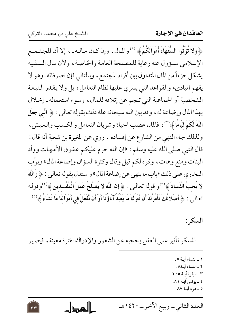﴿ وَلَا تُؤْتُوا السُّفَهَاءَ أَمْوَالَكُمُ ﴾ ('' والمال ـ وإن كـان مـالـه ـ ، إلا أن المجـتـمـع الإسلامي مسؤول عنه رعاية للمصلحة العامة والخاصة، ولأن مال السفيه يشكل جزءاً من المال المتداول بين أفراد المجتمع ، وبالتالي فإن تصرفاته ـ وهو لا يفهم المباديء والقواعد التي يسري عليها نظام التعامل، بل ولا يقدر التبعة الشخصية أو الجماعية التي تنجم عن إتلافه للمال، وسوء استعماله ـ إخلال بهذا المال وإضاعة له ، وقد بين الله سبحانه علة ذلك بقوله تعالى : ﴿ الَّتِي جَعَلَ اللَّهُ لَكُمْ قِيَامًا ﴾ (٢) ، فالمال عصب الحياة وشريان التعامل والكسب والعيش ، ولذلك جاء النهي من الشارع عن إفساده . روي عن المغيرة بن شعبة أنه قال : قال النبي صلى الله عليه وسلم : «إن الله حرم عليكم عقوق الأمهات ووأد البنات ومنع وهات، وكره لكم قيل وقال وكثرة السؤال وإضاعة المال» وبوَّب البخاري على ذلك «باب ما ينهي عن إضاعة المال» واستدل بقوله تعالى : ﴿ وَاللَّهَ لا يُحبُّ الْفَسَادَ ﴾ (٣)و قوله تعالى: ﴿ إِن اللَّهَ لا يُصْلحُ عَمَلَ الْمُفْسدينِ ﴾ <sup>(٤)</sup>وقولـه تعالى : ﴿ أَصَلاتُكَ تَأْمُرُكَ أَن نَّتْرِكَ مَا يَعْبُدُ آبَاؤُنَا أَوْ أَن نَّفْعَلَ في أَمْوالنَا مَا نَشَاءُ ﴾ <sup>(٥)</sup> .

السكر :

للسكر تأثير على العقل يحجبه عن الشعور والإدراك لفترة معينة، فيصير

- ١ ـ النساء آيـة ٥. ٢ ـ النساء آية٥. ٣ ـ البقرة آيـة ٢٠٥. ٤ ـ يونس آيــة ٨١.
	- ٥ ـ هو د آيــة ٨٧.

العدد الثاني ــ ربيع الآخر ــ ١٤٢٠هـ كالمطاح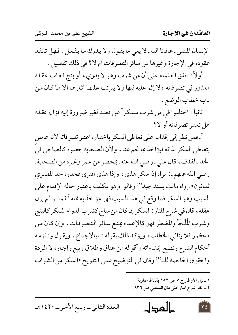الإنسان المبتلى ـ عافانا الله ـ لا يعي ما يقول ولا يدرك ما يفعل . فهل تنفذ عقوده في الإجارة وغيرها من سائر التصرفات أم لا؟ في ذلك تفصيل : أولاً : اتفق العلماء على أن من شرب وهو لا يدري، أو بنج فغاب عقله

معذور في تصرفاته ، لا إثم عليه فيها ولا يترتب عليها آثارها إلا ما كان من باب خطاب الوضع .

ثانياً: اختلفوا في من شرب مسكراً عن قصد لغير ضرورة إليه فزال عقله هل تعتبر تصرفاته أو لا؟

أ فمن نظر إلى إقدامه على تعاطي المسكر باختياره اعتبر تصرفاته لأنه عاص بتعاطي السكر لذاته فيؤاخذ بما نجم عنه ، ولأن الصحابة جعلوه كالصاحي في الحد بالقذف، قال على ـ رضي الله عنه ـ بمحضر من عمر وغيره من الصحابة ـ رضي الله عنهم ـ: نراه إذا سكر هذي، وإذا هذي افترى فحدوه حد المفتري ثمانون» رواه مالك بسند جيد<sup>(١)</sup> وقالوا وهو مكلف باعتبار حالة الإقدام على السبب وهو السكر فما وقع في هذا السبب فهو مؤاخذ به تماماً كما لو لم يزل عقله، قال في شرح المنار : السكر إن كان من مباح كشرب الدواء المسكر كالبنج وشرب الْمُلْجَأ والمضطر فهو كالإغماء يمنع سائر التصرفات، وإن كان من محظور فلا ينافي الخطاب، ويؤكد ذلك بقوله : «بالإجماع، ويقول وتلزمه أحكام الشرع وتصح إنشاءاته وأقواله من عتاق وطلاق وبيع وإجاره لا الردة والحقوق الخالصة لله<sup>(٢)</sup> وقال في التوضيح على التلويح «السكر من الشراب

> ١ ـ نيل الأوطار ج ٧ ص ١٥٢ بألفاظ مقاربة. ٢ ـ انظر شرح المنار على متن النسفـي ص ٩٣٦.

حالمجال العدد الثانبي \_ ربيع الآخر \_ ١٤٢٠هـ ع ۲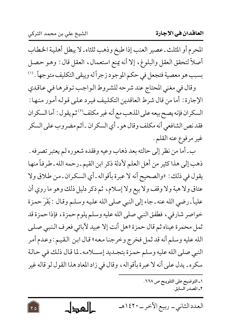$Y_0$ 

المحرم أو المثلث ـ عصير العنب إذا طبخ وذهب ثلثاه ـ لا يبطل أهلية الخطاب أصلاً لتحقق العقل والبلوغ، إلا أنه يمنع استعمال، العقل قال : وهو حصل بسبب هو معصية فتجعل في حكم الموجود زجراً له ويبقى التكليف متوجهاً . ('')

وقال في مغنى المحتاج عند شرحه للشروط الواجب توفرها في عاقدي الإجارة : أما من قال شرط العاقدين التكليف فيرد على قوله أمور منها : السكران فإنه يصح بيعه على المذهب مع أنه غير مكلف (٢) ثم يقول : أما السكران فقد نص الشافعي أنه مكلف وقال هو ـ أي السكران ـ آثم مضروب على السكر غير مرفوع عنه القلم .

ب ـ أما من نظر إلى حالته بعد ذهاب وعيه وفقده شعوره لم يعتبر تصرفه . ذهب إلى هذا كثير من أهل العلم لأدلة ذكر ابن القيم ـ رحمه الله ـ طرفاً منها يقول في ذلك : «والصحيح أنه لا عبرة بأقواله ـ أي السكران ـ من طلاق ولا عتاق ولا هبة ولا وقف ولا بيع ولا إسلام، ثم ذكر دليل ذلك وهو ما روي أن علياً ـ رضي الله عنه ـ جاء إلى النبي صلى الله عليه وسلم وقال : بَقَرَ حمزة خواصر شارفي، فطفق النبي صلى الله عليه وسلم يلوم حمزة، فإذا حمزة قد ثمل محمرة عيناه ثم قال حمزة «هل أنت إلا عبيد لآبائي فعرف النبي صلى الله عليه وسلم أنه قد ثمل فخرج وخرجنا معه» قال ابن القيم : وعدم أمر النبي صلى الله عليه وسلم حمزة بتجـديد إســـلامه ـ لما قال ذلك في حالة سكره ـ يدل على أنه لا عبرة بأقواله ، وقال في زاد المعاد هذا القول لو قاله غير

> ١ـ التوضيح على التلويـح ص ٢٦٨. ٢ـ المصدر السائق.

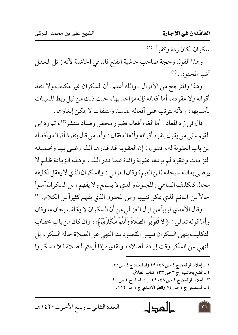سكران لكان ردة وكفراً. (١)

وهذا القول وحجة صاحب حاشية المقنع قال في الحاشية لأنه زائل العقل أشبه المجنون. (٢)

وهذا والمترجح من الأقوال ـ والله أعلم ـ أن السكران غير مكلف ولا تنفذ أقواله ولا عقوده، أما أفعاله فإنه مؤاخذ بها، حيث ذلك من قبل ربط المسببات بأسبابها، ولأنه يترتب على أفعاله مفاسد ومتلفات لا يمكن إلغاؤها .

قال في زاد المعاد : أما الغاء أفعاله فضرر محض وفساد منتشر<sup>(٣)</sup>، ثم رد ابن القيم على من يقول بنفوذ أقواله وأفعاله فقال : وأما من قال بنفوذ أقواله وأفعاله من باب العقوبة له، فنقول : إن العقوبة قد قدرها الله رضي بها وتحميله التزامات وعقود لم يردها عقوبة زائدة عما قدر الله، وهذه الزيادة ظلم لا يرضي به الله سبحانه (ابن القيم) وقال الغزالي : والسكران الذي لا يعقل تكليفه محال كتكليف الساهي والمجنون والذي لا يسمع ولا يفهم، بل السكران أسوأ حالاً من النائم الذي يمكن تنبيهه ومن المجنون الذي يفهم كثيراً من الكلام . (2)

وقال الأمدي قريباً من قول الغزالي من أن السكران لا يكلف بحال ما وقال وأما قوله تعالى : ﴿لا تَقْرَبُوا الصَّلاةَ وأَنتُمْ سُكَارَىٓ﴾، وإن كان من باب خطاب التكليف بنهي السكران فليس المقصود منه النهي عن الصلاة حالة السكر ، بل النهي عن السكر وقت إرادة الصلاة، وتقديره إذا أردتم الصلاة فلا تسكروا

١ ـ إعلام الموقعين ج ٤ ص ٤٨/ ٤٩ زاد المعــاد ج ٤ ص ٤٠. ٢ ـ المقنع بحاشيته ج ٣ ص ١٣٣ كتاب الطلاق. ٣\_ أعلام الموقعين ج ٤ ص ٤٨/ ٤٩، زاد المعـاد ج ٤ ص ٤٠. ٤ ـ المستصفى ج ١ ص ٥٤ وانظر الآمـدى ج ١ ص ١٥٢.

حالمجال

العدد الثاني\_ ربيع الآخر\_ ١٤٢٠هـ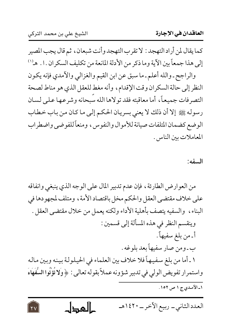$\overline{Y}V$ 

كما يقال لمن أراد التهجد : لا تقرب التهجد وأنت شبعان ، ثم قال يجب المصير إلى هذا جمعاً بين الآية وما ذكر من الأدلة المانعة من تكليف السكران . ا . هـ('' والراجح ـ والله أعلم ـ ما سبق عن ابن القيم والغزالي والآمدي فإنه يكون النظر إلى حالة السكران وقت الإقدام، وأنه مغط للعقل الذي هو مناط لصحة التصرفات جميعاً، أما معاقبته فقد تولاها الله سبحانه وشرعها على لسان رسوله ﷺ إلا أن ذلك لا يعني بسريان الحكم إلى ما كان من باب خطاب الوضع كضمان المتلفات صيانة للأموال والنفوس ، ومنعاً للفوضى واضطراب

المعاملات بين الناس.

## السفه:

من العوارض الطارئة ، فإن عدم تدبير المال على الوجه الذي ينبغي وانفاقه على خلاف مقتضى العقل والحكم مخل باقتصاد الأمة ، ومتلف لمجهودها في البناء، والسفيه يتصف بأهلية الأداء ولكنه يعمل من خلال مقتضى العقل . وينقسم النظر في هذه المسألة إلى قسمين : أ ـ من بلغ سفيهاً . ب ـ ومن صار سفيهاً بعد بلوغه . ١ ـ أما من بلغ سفيهاً فلا خلاف بين العلماء في الحيلولة بينه وبين ماله واستمرار تفويض الولي في تدبير شؤونه عملاً بقوله تعالى : ﴿ وَلا تُؤْتُوا السُّفَهَاءَ ۱ـ الآمـدي ج ۱ ص ۱۰۲.

العدد الثاني\_ ربيع الآخر\_ ١٤٢٠هـ كالمحطل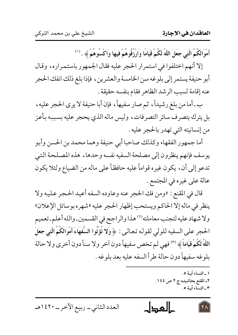أَمْوَالَكُمُ الَّتِي جَعَلَ اللَّهُ لَكُمْ قِيَامًا وَارْزُقُوهُمْ فِيهَا وَاكْسُوهُمْ ﴾ . <sup>(١)</sup>

إلا أنهم اختلفوا في استمرار الحجر عليه فقال الجمهور باستمراره، وقال أبو حنيفة يستمر إلى بلوغه سن الخامسة والعشرين ، فإذا بلغ ذلك انفك الحجر عنه إقامة لسبب الرشد الظاهر فقام بنفسه حقيقة .

ب ـ أما من بلغ رشيداً، ثم صار سفيهاً، فإن أبا حنيفة لا يرى الحجر عليه، بل يترك يتصرف سائر التصرفات، وليس ماله الذي يحجر عليه بسببه بأعز من إنسانيته التي تهدر بالحجر عليه .

أما جمهور الفقهاء وكذلك صاحبا أبي حنيفة وهما محمد بن الحسن وأبو يوسف فإنهم ينظرون إلى مصلحة السفيه نفسه وحدها ، هذه المصلحة التي تدعو إلى أن ، يكون غيره قواماً عليه حافظاً على ماله من الضياع ولئلا يكون عالة على غيره في المجتمع .

قال في المقنع : «ومن فك الحجر عنه وعاوده السفه أعيد الحجر عليه ولا ينظر في ماله إلا الحاكم ويستحب إظهار الحجر عليه «شهره بوسائل الإعلان» ولا شهاد عليه لتجنب معاملته'٬ هذا والراجح في القسمين ـ والله أعلم ـ تعميم الحجر على السفيه للولى لقوله تعالى: ﴿ وَلا تُؤْتُوا السُّفَهَاءَ أَمْوَالَكُمُ الَّتِي جَعَلَ اللَّهُ لَكُمْ قِيَاماً ﴾ (٣) فهي لم تخص سفيهاً دون آخر ولا سناً دون أخرى ولا حالة بلوغه سفيهاً دون حالة طرأ السفه عليه بعد بلوغه .

> ١ ـ النساء آيـة ٥. ٢\_ المقنع بحاشيتـه ج ٢ ص ١٤٤. ٣\_النساء آيـة ٥.

حالمجال العدد الثانبي \_ ربيع الآخر \_ ١٤٢٠هـ  $\lambda$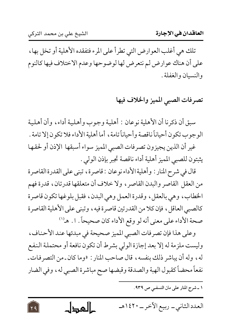$\overline{Y}$ 

تلك هي أغلب العوارض التي تطرأ على المرء فتفقده الأهلية أو تخل بها، على أن هناك عوارض لم نتعرض لها لوضوحها وعدم الاختلاف فيها كالنوم والنسيان والغفلة .

تصرفات الصبي المميز والخلاف فيها

سبق أن ذكرنا أن الأهلية نوعان : أهلية وجوب وأهلية أداء، وأن أهلية الوجوب تكون أحياناً ناقصة وأحياناً تامة ، أما أهلية الأداء فلا تكون إلا تامة . غير أن الذين يجيزون تصرفات الصبي المميز سواء أسبقها الإذن أو لحقها

يثبتون للصبي المميز أهلية أداء ناقصة تجبر بإذن الولى .

قال في شرح المنار : وأهلية الأداء نوعان : قاصرة، تبنى على القدرة القاصرة من العقل القاصر والبدن القاصر ، ولا خلاف أن متعلقها قدرتان ، قدرة فهم الخطاب، وهي بالعقل، وقدرة العمل وهي البدن، فقبل بلوغها تكون قاصرة كالصبي العاقل ، فإن كلا من القدرتين قاصرة فيه ، وتبنى على الأهلية القاصرة صحة الأداء على معنى أنه لو وقع الأداء كان صحيحاً . ا . هـ ``

وعلى هذا فإن تصرفات الصبي المميز صحيحة في مبدئها عند الأحناف، وليست ملزمة له إلا بعد إجازة الولي بشرط أن تكون نافعة أو محتملة النفع له، وله أن يباشر ذلك بنفسه، قال صاحب المنار : «وما كان ـ من التصرفات ـ نفعاً محضاً كقبول الهبة والصدقة وقبضها صح مباشرة الصبي له، وفي الضار

١ ـ شرح المنار على متن النسفـى ص ٩٣٩.

كالمجال العدد الثاني\_ ربيع الآخر\_ ١٤٢٠هـ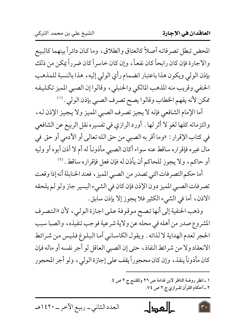المحض تبطل تصرفاته أصلاً كالعتاق والطلاق، وما كان دائراً بينهما كالبيع والاجارة فإن كان رابحاً كان نفعاً، وإن كان خاسراً كان ضرراً يمكن من ذلك بإذن الولي ويكون هذا باعتبار انضمام رأي الولي إليه، هذا بالنسبة للمذهب الحنفي وقريب منه المذهب المالكي والحنبلي، وقالوا إن الصبي المميز تكليفه ممكن لأنه يفهم الخطاب وقالوا يصح تصرف الصبي بإذن الولي . (''

أما الإمام الشافعي فإنه لا يجيز تصرف الصبي المميز ولا يجيز الإذن له، والتزماته كلها لغو لا أثر لها . أورد الرازي في تفسيره نقل الربيع عن الشافعي في كتاب الإقرار : «وما أقر به الصبي من حق الله تعالى أو الأدمي أو حق في مال غيره فإقراره ساقط عنه سواء أكان الصبي مأذوناً له أم لا أذن أبوه أو وليه أو حاكم، ولا يجوز للحاكم أن يأذن له فإن فعل فإقراره ساقط . (٢

أما حكم التصرفات التي تصدر من الصبي المميز ، فعند الحنابلة أنه إذا وقعت تصرفات الصبي المميز دون الإذن فإن كان في الشيء اليسير جاز ولو لم يلحقه الاذن، أما في الشيء الكثير فلا يجوز إلا بإذن سابق .

وذهب الحنفية إلى أنها تصح موقوفة على اجازة الولي، لأن «التصرف المشروع صدر من أهله في محله عن ولاية شرعية فوجب تنفيذه، والصبا سبب الحجر لعدم الهداية لا لذاته . ويقول الكاساني أما البلوغ فليس من شرائط الانعقاد ولا من شرائط النفاذ، حتى إن الصبي العاقل لو أجر نفسه أو ماله فإن كان مأذوناً ينفذ، وإن كان محجوراً يقف على إجازة الولى، ولو أجر المحجور

> ١ ـ انظر روضة الناظر لابن قدامة ص ٢٦ والمقنـع ج ٢ ص ٤. ٢ ـ أحكام القرآن للـرازي ج ٢ ص ٧٤.

العدد الثاني\_ ربيع الآخر\_ ١٤٢٠هـ

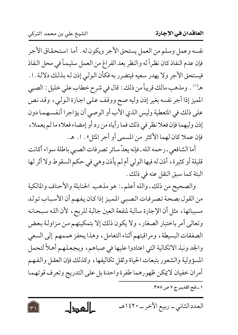$\forall$ 

نفسه وعمل وسلم من العمل يستحق الأجر ويكون له . أما استحقاق الأجر فإن عدم النفاذ كان نظراً له والنظر بعد الفراغ من العمل سليماً في محل النفاذ فيستحق الأجر ولا يهدر سعيه فيتضرر به فكأن الولي إذن له بذلك دلالة .١. هـ('' . ومذهب مالك قريباً من ذلك : قال في شرح خطاب علي خليل : الصبي المميز إذا أجر نفسه بغير إذن وليه صح ووقف على اجازة الولي ، وقد نص على ذلك في المتعطية وليس الذي الأب أو الوصي أن يؤاجرا أنفسهما دون إذن وليهما فإن فعلا نظر في ذلك فما رأياه من رد أو إمضاء فعلاه ما لم يعملا ، فإن عملا كان لهما الأكثر من المسمى أو أجر المثل» . ا . هـ.

أما الشافعي ـ رحمه الله ـ فإنه يعدّ سائر تصرفات الصبي باطلة سواء أكانت قليلة أو كثيرة، أذن له فيها الولي أم لم يأذن وهي في حكم السقوط ولا أثر لها البتة كما سبق النقل عنه في ذلك .

والصحيح من ذلك ـ والله أعلم ـ: هو مذهب الحنابلة والأحناف والمالكية من القول بصحة تصرفات الصبي المميز إذا كان يفهم أن الأسباب تولد مسبباتها، مثل أن الإجارة سالبة لمنفعة العين جالبة للربح، لأن الله سبحانه وتعالى أمر باختبار الصغار ، ولا يكون ذلك إلا بتمكينهم من مزاولة بعض الصفقات البسيطة، ومراقبتهم أثناء التعامل، وهذا يحفز هممهم إلى السعي والجد ونبذ الاتكالية التي اعتادوا عليها في صباهم، ويجعلهم أهلاً لتحمل المسؤولية والشعور بتبعات الحياة وثقل تكاليفها ، وكذلك فإن العقل والفهم أمران خفيان لايكن ظهورهما طفرة واحدة بل على التدريج وتعرف قوتهما

١ ـ فتح القدير ج ٧ ص ٣٥٨.

العدد الثاني ــ ربيع الآخر ــ ١٤٢٠هـ كالمحطل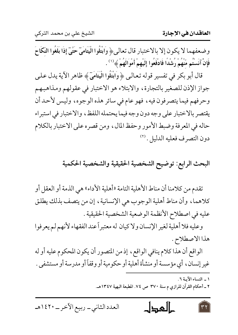وضعفهما لا يكون إلا بالاختبار قال تعالى، وَابْتَلُوا الْيَتَامَىٓ حَتَّىٓ إِذَا بَلَغُوا النَّكَاحَ فَإِنْ آنَسْتُم مَّنْهُمْ رُشْدًا فَادْفَعُوا إِلَيْهِمْ أَمْوَالَهُمْ ﴾ (`` .

قال أبو بكر في تفسير قوله تعالىي ﴿ وَابْتَلُوا الْيَتَامَىٓ ﴾ ظاهر الآية يدل علمي جواز الإذن للصغير بالتجارة، والابتلاء هو الاختبار في عقولهم ومذاهبهم وحرفهم فيما يتصرفون فيه، فهو عام في سائر هذه الوجوه، وليس لأحد أن يقتصر بالاختبار على وجه دون وجه فيما يحتمله اللفظ، والاختبار في استبراء حاله في المعرفة وضبط الأمور وحفظ المال، ومن قصره على الاختبار بالكلام دون التصرف فعليه الدليل. (٢)

## البحث الرابع: توضيح الشخصية الحقيقية والشخصية الحكمية

تقدم من كلامنا أن مناط الأهلية التامة «أهلية الأداء» هي الذمة أو العقل أو كلاهما، وأن مناط أهلية الوجوب هي الإنسانية، إن من يتصف بذلك يطلق عليه في اصطلاح الأنظمة الوضعية الشخصية الحقيقية .

وعليه فلا أهلية لغير الإنسان ولاكيان له معتبراً عند الفقهاء لأنهم لم يعرفوا هذا الاصطلاح.

الواقع أن هذا كلام ينافي الواقع، إذ من المتصور أن يكون المحكوم عليه أو له غير إنسان، أي مؤسسة أو منشأة أهلية أو حكومية أو وقفاً أو مدرسة أو مستشفى .

> ١ ـ النساء الآيـة ٦. ٢ ـ أحكام القرآن للرازي م سنة ٣٧٠ ص ٧٤. المطبعة البهية ١٣٤٧هـ.

كالمحال العدد الثاني\_ ربيع الآخر\_ ١٤٢٠هـ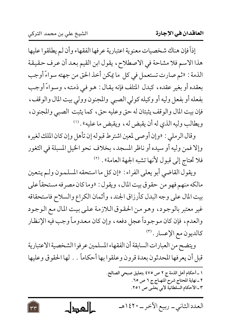إذاً فإن هناك شخصيات معنوية اعتبارية عرفها الفقهاء وأن لم يطلقوا عليها هذا الاسم فلا مشاحة في الاصطلاح، يقول ابن القيم بعد أن عرف حقيقة الذمة : «ثم صارت تستعمل في كل ما يمكن أخذ الحق من جهته سواءً أوجب بعقده أو بغير عقده، كبدل المتلف فإنه يقال: هـو فـي ذمتـه، وسـواءً أوجب بفعله أو بفعل وليه أو وكيله كولي الصبي والمجنون وولي بيت المال والوقف ، فإن بيت المال والوقف يثبتان له حق وعليه حق، كما يثبت الصبي والمجنون، ويطالب وليه الذي له أن يقبض له، ويقبض ما عليه» . ('')

وقال الرملي : «وإن أوصى لمعين اشترط قبوله إن تأهل وإن كان الملك لغيره وإلا فمن وليه أو سيده أو ناظر المسجد، بخلاف نحو الخيل المسبلة في الثغور فلا تحتاج إلى قبول لأنها تشبه الجهة العامة». (٢)

ويقول القاضي أبو يعلى الفراء : «إن كل ما استحقه المسلمون ولـم يتعين مالكه منهم فهو من حقوق بيت المال، ويقول : «وما كان مصرفه مستحقاً على بيت المال على وجه البدل كأرزاق الجند، وأثمان الكراع والسلاح فاستحقاقه غير معتبر بالوجود، وهو من الحقوق اللازمة على بيت المال مع الوجود والعدم، فإن كان موجوداً عجل دفعه، وإن كان معدوماً وجب فيه الإنظار كالديون مع الإعسار . (٣)

ويتضح من العبارات السابقة أن الفقهاء المسلمين عرفوا الشخصية الاعتبارية قبل أن يعرفها المحدثون بعدة قرون وعلقوا بها أحكاماً . . لها الحقوق وعليها

١ ـ أحكام أهل الذمة ج ٢ ص ٤٧٥ بتعليق صبحي الصالح. ٢ ـ نهاية المحتاج شرح المنهـاج ج ٦ ص ٢٥. ٣ ـ الأحكام السلطانية لأبي يعلـي ص ٢٥١.

العدد الثاني ــ ربيع الآخر ــ ١٤٢٠هـ حالمجال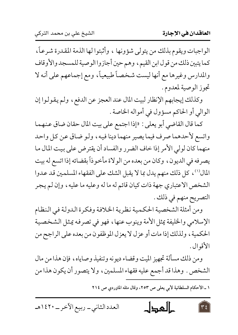الواجبات ويقوم بذلك من يتولى شؤونها ، وأثبتوا لها الذمة المقدرة شرعاً، كما يتبين ذلك من قول ابن القيم، وهم حين أجازوا الوصية للمسجد والأوقاف والمدارس وغيرها مع أنها ليست شخصاً طبيعياً، ومع إجماعهم على أنه لا تجوز الوصية لمعدوم.

وكذلك إيجابهم الإنظار لبيت المال عند العجز عن الدفع، ولم يقولوا إن الوالى أو الحاكم مسؤول في أمواله الخاصة .

كما قال القاضي أبو يعلى : «إذا اجتمع على بيت المال حقان ضاق عنهما واتسع لأحدهما صرف فيما يصير منهما دينا فيه، ولـو ضـاق عـن كـل واحـد منهما كان لولي الأمر إذا خاف الضرر والفساد أن يقترض على بيت المال ما يصرفه في الديون، وكان من بعده من الولاة مأخوذاً بقضائه إذا اتسع له بيت المال (١) ، كل ذلك منهم يدل بما لا يقبل الشك على الفقهاء المسلمين قد عدوا الشخص الاعتباري جهة ذات كيان قائم له ما له وعليه ما عليه ، وإن لم يجر التصريح منهم في ذلك .

ومن أمثلة الشخصية الحكمية نظرية الخلافة وفكرة الدولة في النظام الإسلامي والخليفة يمثل الأمة وينوب عنها، فهو في تصرفه يمثل الشخصية الحكمية ، ولذلك إذا مات أو عزل لا يعزل الموظفون من بعده على الراجح من الأقوال .

ومن ذلك مسألة تجهيز الميت وقضاء ديونه وتنفيذ وصاياه، فإن هذا من مال الشخص . وهذا قد أجمع عليه فقهاء المسلمين ، ولا يتصور أن يكون هذا من

١ ـ الأحكام السلطانية لأبي يعلى ص ٢٥٣، وقال مثله الماوردي ص ٢١٤

كالمطاح العدد الثاني\_ ربيع الآخر\_ ١٤٢٠هـ  $\forall \xi$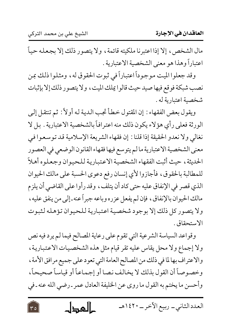$\mathbf{r}$ 

مال الشخص، إلا إذا اعتبرنا ملكيته قائمة، ولا يتصور ذلك إلا بجعله حياً اعتباراً وهذا هو معنى الشخصية الاعتبارية .

وقد جعلوا الميت موجوداً اعتباراً في ثبوت الحقوق له، ومثلوا ذلك بمن نصب شبكة فوقع فيها صيد حيث قالوا يملك الميت ، ولا يتصور ذلك إلا بإثبات شخصية اعتبارية له .

ويقول بعض الفقهاء : إن المقتول خطأ تجب الدية لـه أولاً : ثم تنتقل إلـي الورثة فعلى رأى هؤلاء يكون ذلك منه اعترافاً بالشخصية الاعتبارية . بل لا نغالي ولا نعدو الحقيقة إذا قلنا : إن فقهاء الشريعة الإسلامية قد توسعوا في معنى الشخصية الاعتبارية مالم يتوسع فيها فقهاء القانون الوضعي في العصور الحديثة، حيث أثبت الفقهاء الشخصية الاعتبارية للحيوان وجعلوه أهلاً للمطالبة بالحقوق، فأجازوا لأي إنسان رفع دعوى الحسبة على مالك الحيوان الذي قصر في الإنفاق عليه حتى كاد أن يتلف ، وقد رأوا على القاضي أن يلزم مالك الحيوان بالإنفاق، فإن لم يفعل عزره وباعه جبراً عنه ـ إلى من ينفق عليه، ولا يتصور كل ذلك إلا بوجود شخصية اعتبارية للحيوان تؤهله لثبوت الاستحقاق .

وقواعد السياسة الشرعية التي تقوم على رعاية المصالح فيما لم يرد فيه نص ولا إجماع ولا محل يقاس عليه تقر قيام مثل هذه الشخصيات الاعتبارية، والاعتراف بها لما في ذلك من المصالح العامة التي تعود على جميع مرافق الأمة ، وخصوصاً أن القول بذلك لا يخالف نصا أو إجماعاً أو قياساً صحيحاً، وأحسن ما يختم به القول ما روى عن الخليفة العادل عمر ـ رضي الله عنه ـ في

كالمحطل العدد الثاني\_ ربيع الآخر\_ ١٤٢٠هـ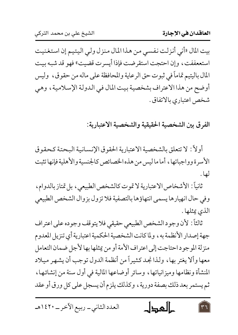بيت المال «أني أنزلت نفسي من هذا المال منزل ولي اليتيم إن استغنيت استععففت، وإن احتجت استقرضت فإذا أيسرت قضيت» فهو قد شبه بيت المال باليتيم تماماً في ثبوت حق الرعاية والمحافظة على ماله من حقوق ، وليس أوضح من هذا الاعتراف بشخصية بيت المال في الدولة الإسلامية ، وهي شخص اعتباري بالاتفاق .

الفرق بين الشخصية الحقيقية والشخصية الاعتبارية:

أولاً : لا تتعلق بالشخصية الاعتبارية الحقوق الإنسانية البحتة كحقوق الأسرة وواجباتها، أما ما ليس من هذه الخصائص كالجنسية والأهلية فإنها تثبت لھا .

ثانياً : الأشخاص الاعتبارية لا تموت كالشخص الطبيعي ، بل تمتاز بالدوام ، وفي حال انهيارها يسمى انتهاؤها بالتصفية فلا تزول بزوال الشخص الطبيعي الذي يمثلها .

ثالثاً: لأن وجود الشخص الطبيعي حقيقي فلا يتوقف وجوده على اعتراف جهة إصدار الأنظمة به ، ولما كانت الشخصية الحكمية اعتبارية أي تنزيل المعدوم منزلة الموجود احتاجت إلى اعتراف الأمة أو من يمثلها بها لأجل ضمان التعامل معها وألا يغتر بها، ولذا نجد كثيراً من أنظمة الدول توجب أن يشهر ميلاد المنشأة ونظامها وميزانياتها، وسائر أوضاعها المالية في أول سنة من إنشائها، ثم يستمر بعد ذلك بصفة دورية ، وكذلك يلزم أن يسجل على كل ورق أو عقد

كالمحال العدد الثاني\_ ربيع الآخر\_ ١٤٢٠هـ  $\tau$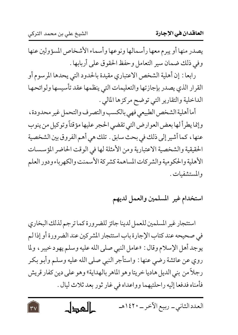$\forall v$ 

يصدر منها أو يبرم معها رأسمالها ونوعها وأسماء الأشخاص المسؤولين عنها وفي ذلك ضمان سير التعامل وحفظ الحقوق على أربابها .

رابعا : إن أهلية الشخص الاعتباري مقيدة بالحدود التي يحدها المرسوم أو القرار الذي يصدر بإجازتها والتعليمات التي ينظمها عقد تأسيسها ولوائحها الداخلية والتقارير التي توضح مركزها المالي .

أما أهلية الشخص الطبيعي فهي بالكسب والتصرف والتحمل غير محدودة، وإنما يطرأ لها بعض العوارض التي تقضى الحجر عليها مؤقتاً وتوكيل من ينوب عنها، كما أشير إلى ذلك في بحث سابق . تلك هي أهم الفروق بين الشخصية الحقيقية والشخصية الاعتبارية ومن الأمثلة لها في الوقت الحاضر المؤسسات الأهلية والحكومية والشركات المساهمة كشركة الأسمنت والكهرباء ودور العلم والمستشفيات .

استخدام غير المسلمين والعمل لديهم

استئجار غير المسلمين للعمل لدينا جائز للضرورة كما ترجم لذلك البخاري في صحيحه عند كتاب الإجارة باب استئجار المشركين عند الضر ورة أو إذا لم يوجد أهل الإسلام وقال : «عامل النبي صلى الله عليه وسلم يهود خيبر ، ولما روي عن عائشة رضي عنها : واستأجر النبي صلى الله عليه وسلم وأبو بكر رجلاً من بني الديل هاديا خريتا وهو الماهر بالهداية» وهو على دين كفار قريش فأمناه فدفعا إليه راحلتيهما وواعداه في غار ثور بعد ثلاث ليال .

العدد الثاني\_ ربيع الآخر\_ ١٤٢٠هـ كالمحطل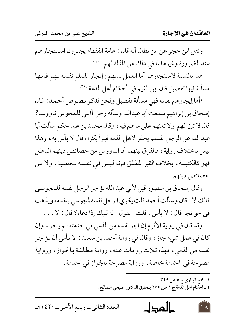ونقل ابن حجر عن ابن بطال أنه قال : عامة الفقهاء يجيزون استئجارهم عند الضرورة وغيرها لما في ذلك من المذلة لهم . (١)

هذا بالنسبة لاستئجارهم أما العمل لديهم وإيجار المسلم نفسه لهم فإنها مسألة فيها تفصيل قال ابن القيم في أحكام أهل الذمة : (٢)

«أما إيجارهم نفسه فهي مسألة تفصيل ونحن نذكر نصوص أحمد : قال إسحاق بن إبراهيم سمعت أبا عبدالله وسأله رجل أأبنى للمجوس ناووسا؟ قال لا تبن لهم ولا تعنهم على ما هم فيه ، وقال محمد بن عبدالحكم سألت أبا عبد الله عن الرجل المسلم يحفر لأهل الذمة قبراً بكراء قال لا بأس به، وهذا ليس باختلاف رواية، فالفرق بينهما أن الناووس من خصائص دينهم الباطل فهو كالكنيسة، بخلاف القبر المطلق فإنه ليس في نفسه معصية، ولا من خصائص دينهم .

وقال إسحاق بن منصور قيل لأبي عبد الله يؤاجر الرجل نفسه للمجوسي قالك لا . قال وسألت أحمد قلت يكري الرجل نفسه لمجوسي يخدمه ويذهب في حوائجه قال: لا بأس . قلت: يقول: له لبيك إذا دعاه؟ قال: لا . . .

وقد قال في رواية الأثرم إن آجر نفسه من الذمي في خدمته لـم يـجز ، وإن كان في عمل شيء جاز ، وقال في رواية أحمد بن سعيد : لا بأس أن يؤاجر نفسه من الذمي، فهذه ثلاث روايات عنه، رواية مطلقة بالجواز، ورواية مصرحة في الخدمة خاصة، ورواية مصرحة بالجواز في الخدمة .

> ١ ـ فتح البـاري ج ٥ ص ٢٤٩. ٢ ـ أحكام أهل الذمة ج ١ ص ٢٧٥ بتحقيق الدكتور صبحي الصالح.

العدد الثاني\_ ربيع الآخر\_ ١٤٢٠هـ كالمحال  $\mathsf{r}_\Lambda$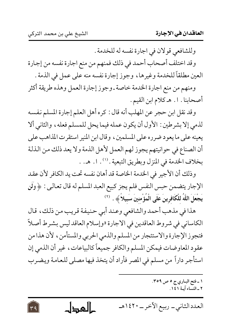$\overline{Y}$ 

وللشافعي قولان في اجارة نفسه له للخدمة .

وقد اختلف أصحاب أحمد في ذلك فمنهم من منع اجارة نفسه من إجارة العين مطلقاً للخدمة وغيرها ، وجوز إجارة نفسه منه على عمل في الذمة .

ومنهم من منع اجارة الخدمة خاصة ـ وجوز إجارة العمل وهذه طريقة أكثر أصحابنا . ١. هـ كلام ابن القيم .

وقد نقل ابن حجر عن المهلب أنه قال : كره أهل العلم إجارة المسلم نفسه لذمي إلا بشرطين : الأول أن يكون عمله فيما يحل للمسلم فعله، والثاني ألا يعينه على ما يعو د ضر ره على المسلمين ، وقال ابن المنير استقر ت المذاهب على أن الصناع في حوانيتهم يجوز لهم العمل لأهل الذمة ولا يعد ذلك من الذلة بخلاف الخدمة في المنزل وبطريق التبعية . ('') . ا . هـ. .

وذلك أن الأجير في الخدمة الخاصة قد أهان نفسه تحت يد الكافر لأن عقد الإجار يتضمن حبس النفس فلم يجز كبيع العبد المسلم له قال تعالىي : ﴿ وَلَن يَجْعَلَ اللَّهُ للْكَافِرِينَ عَلَى الْمُؤْمِنينَ سَبِيلاً ﴾. ```

هذا في مذهب أحمد والشافعي وعند أبي حنيفة قريب من ذلك، قال الكاساني في شروط العاقدين في الاجارة «وإسلام العاقد ليس بشرط أصلاً فتجوز الإجارة والاستئجار من المسلم والذمي الحربي والمستأمن ، لأن هذا من عقود المعاوضات فيمكن المسلم والكافر جميعاً كالبياعات، غير أن الذمي إن استأجر داراً من مسلم في المصر فأراد أن يتخذ فيها مصلى للعامة ويضرب

> ١ ـ فتح البـاري ج ٥ ص ٣٥٩. ٢ ـ النساء آسة ١٤١.

العدد الثاني ــ ربيع الآخر ــ ١٤٢٠هـ حالمجال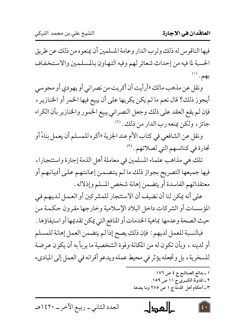فيها الناقوس له ذلك ولرب الدار وعامة المسلمين أن يمنعوه من ذلك عن طريق الحسبة لما فيه من إحداث شعائر لهم وفيه التهاون بالمسلمين والاستخفاف  $\overset{(1)}{\rightarrow}$ 

ونقل عن مذهب مالك «أرأيت أن أكريت من نصراني أو يهودي أو مجوسي أيجوز ذلك؟ قال نعم ما لم يكن يكريها على أن يبيع فيها الخمر أو الخنازير ، فإن لم يقع العقد على ذلك وجعل النصراني يبيع الخمور والخنازير بأن الكراء جائز ، ولكن يمنعه رب الدار من ذلك . (٢)

ونقل عن الشافعي في كتاب الأم عند الجزية «أكره للمسلم أن يعمل بناءً أو نجارة في كنائسهم التي لصلاتهم . (٣)

تلك هي مذاهب علماء المسلمين في معاملة أهل الذمة إجارة واستئجارا، فيها جميعها التصريح بجواز ذلك ما لـم يتضمن إعانتهم عـلي أديانهـم أو معتقداتهم الفاسدة أو يتضمن إهانة شخص المسلم وإذلاله .

على أنه يمكن لنا أن نضيف أن الاستئجار للمشركين أو العمل لديهم في المؤسسات أو الشركات داخل البلاد الإسلامية وخارجها مقرون حكمة من حيث الصحة وعدمها بماهية الخدمات أو المنافع التي يمكن تقديمها أو استيفاؤها .

فبالنسبة للعمل لديهم : فإن ذلك يصح إذا لم يتضمن العمل إهانة للمسلم أو لدينه ، وبأن تكون له من المكانة وقوة الشخصية ما يربأ به أن يكون عرضة للسخرية ، بل وتجعله يؤثر في محيط عمله ويدعو أقرانه في العمل إلى المباديء

 $\lceil$  {  $\cdot$ 

حالهجال العدد الثاني\_ ربيع الآخر\_ ١٤٢٠هـ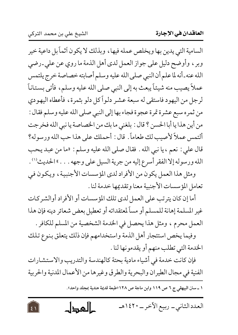$\left| \xi \right|$ 

السامية التي يدين بها ويخلص عمله فيها، وبذلك لا يكون أثماً بل داعية خير وبر ، وأوضح دليل على جواز العمل لدى أهل الذمة ما روي عن على ـ رضي الله عنه ـ أنه لما علم أن النبي صلى الله عليه وسلم أصابته خصاصة خرج يلتمس عملاً يصيب منه شيئاً يبعث به إلى النبي صلى الله عليه وسلم، فأتى بستاناً لرجل من اليهود فاستقى له سبعة عشر دلواً كل دلو بثمرة، فأعطاه اليهودي من ثمره سبع عشرة تمرة عجوة فجاء بها إلى النبي صلى الله عليه وسلم فقال : من أين هذا يا أبا الحسن ؟ قال : بلغني ما بك من الخصاصة يا نبي الله فخرجت ألتمس عملاً لأصيب لك طعاماً. قال: أحملك على هذا حب الله ورسوله؟ قال على : نعم ، يا نبي الله . فقال صلى الله عليه وسلم : «ما من عبد يحب الله ورسوله إلا الفقر أسرع إليه من جرية السيل على وجهه . . . . " الحديث'') .

ومثل هذا العمل يكون من الأفراد لدى المؤسسات الأجنبية ، ويكون في تعامل المؤسسات الأجنبية معنا وتقديمها خدمة لنا .

أما إن كان يترتب على العمل لدى تلك المؤسسات أو الأفراد أوالشركات غير المسلمة إهانة للمسلم أو مساً لمعتقداته أو تعطيل بعض شعائر دينه فإن هذا العمل محرم ، ومثل هذا يحصل في الخدمة الشخصية من المسلم للكافر .

وفيما يخص استئجار أهل الذمة واستخدامهم فإن ذلك يتعلق بنوع تلك الخدمة التي تطلب منهم أو يقدمونها لنا .

فإن كانت خدمة في أشياء مادية بحتة كالهندسة والتدريب والاستشارات الفنية في مجال الطيران والبحرية والطرق وغيرها من الأعمال المدنية والحربية

١ ــ سنن البيهقي ج ٦ ص ١١٩ وابن ماجة ص ١٢٨ «طبعة قديمة هندية بمجلد واحد».

حالمجال العدد الثاني\_ ربيع الآخر\_ ١٤٢٠هـ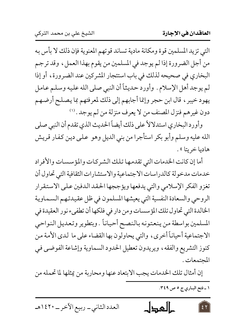التي تزيد المسلمين قوة ومكانة مادية تساند قوتهم المعنوية فإن ذلك لا بأس به من أجل الضرورة إذا لم يوجد في المسلمين من يقوم بهذا العمل، وقد ترجم البخاري في صحيحه لذلك في باب استئجار المشركين عند الضرورة، أو إذا لم يوجد أهل الإسلام . وأورد حديثاً أن النبي صلى الله عليه وسلم عامل يهود خيبر ، قال ابن حجر وإنما أجابهم إلى ذلك لمعرفتهم بما يصلح أرضهم دون غيرهم فنزل المصنف من لا يعرف منزلة من لم يوجد . (١)

وأورد البخاري استدلالأ على ذلك أيضاً الحديث الذي تقدم أن النبي صلى الله عليه وسلم وأبو بكر استأجرا من بني الديل وهو على دين كفار قريش هاديا خريتا ».

أما إن كانت الخدمات التي تقدمها تلك الشركات والمؤسسات والأفراد خدمات مدخولة كالدراسات الاجتماعية والاستشارات الثقافية التي تحاول أن تغزو الفكر الإسلامي والتي يدفعها ويؤججها الحقد الدفين على الاستقرار الروحي والسعادة النفسية التي يعيشها المسلمون في ظل عقيدتهم السماوية الخالدة التي تحاول تلك المؤسسات ومن دار في فلكها أن تطفىء نور العقيدة في المسلمين بواسطة من ينعتونه بالنصح أحياناً . وبتطوير وتعديل النواحي الاجتماعية أحياناً أخرى، والتي يحاولون بها القضاء على ما لدى الأمة من كنوز التشريع والفقه ، ويريدون تعطيل الحدود السماوية وإشاعة الفوضي في المحتمعات .

إن أمثال تلك الخدمات يجب الابتعاد عنها ومحاربة من يمثلها لما تحمله من

١ ـ فتح البـاري ج ٥ ص ٤٩.

كالعطل العدد الثاني\_ ربيع الآخر\_ ١٤٢٠هـ  $\epsilon$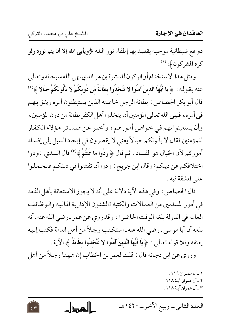$54$ 

العاقدان في الإجارة

دوافع شيطانية موجهة يقصد بها إطفاء نور الله ﴿ويأبي الله إِلا أن يتم نوره ولو كره المشركون ﴾ (ا)

ومثل هذا الاستخدام أو الركون للمشركين هو الذي نهى الله سبحانه وتعالى عنه بقوله : ﴿ يَا أَيُّهَا الَّذِينَ آمَنُوا لا تَتَّخذُوا بطَانَةً مّن دُونكُمْ لا يَأْلُونَكُمْ خَبَالاً ﴾ ('' قال أبو بكر الجصاص : بطانة الرجل خاصته الذين يستبطنون أمره ويثق بهم في أمره، فنهي الله تعالى المؤمنين أن يتخذوا أهل الكفر بطانة من دون المؤمنين، وأن يستعينوا بهم في خواص أمورهم، وأخبر عن ضمائر هؤلاء الكفار للمؤمنين فقال لا يألونكم خبالاً يعني لا يقصرون في إيجاد السبل إلى إفساد أموركم لأن الخبال هو الفساد . ثم قال ﴿ وَدُّوا مَا عَنتُمْ﴾ (٣) قال السدي : ودوا اختلافكم عن دينكم< وقال ابن جريج : ودوا أن تفتتنوا في دينكم فتحملوا على المشقة فيه .

قال الجصاص : وفي هذه الآية دلالة على أنه لا يجوز الاستعانة بأهل الذمة في أمور المسلمين من العمالات والكتبة «الشئون الإدارية المالية والوظائف العامة في الدولة بلغة الوقت الحاضر»، وقد روي عن عمر ـ رضي الله عنه ـ أنه بلغه أن أبا موسى ـ رضي الله عنه ـ استكتب رجلاً من أهل الذمة فكتب إليه يعنفه وتلا قوله تعالى: ﴿ يَا أَيُّهَا الَّذِينَ آمَنُوا لا تَتَّخذُوا بطَانَةً ﴾ الآية .

وروى عن ابن دجانة قال : قلت لعمر بن الخطاب إن ههنا رجلاً من أهل

۱ ـ آل عمران ۱۱۹. ٢ ـ آل عمران آيـة ١١٨. ٣ ـ آل عمر ان آيــة ١١٨.

حالمجال العدد الثاني \_ ربيع الآخر \_ ١٤٢٠هـ